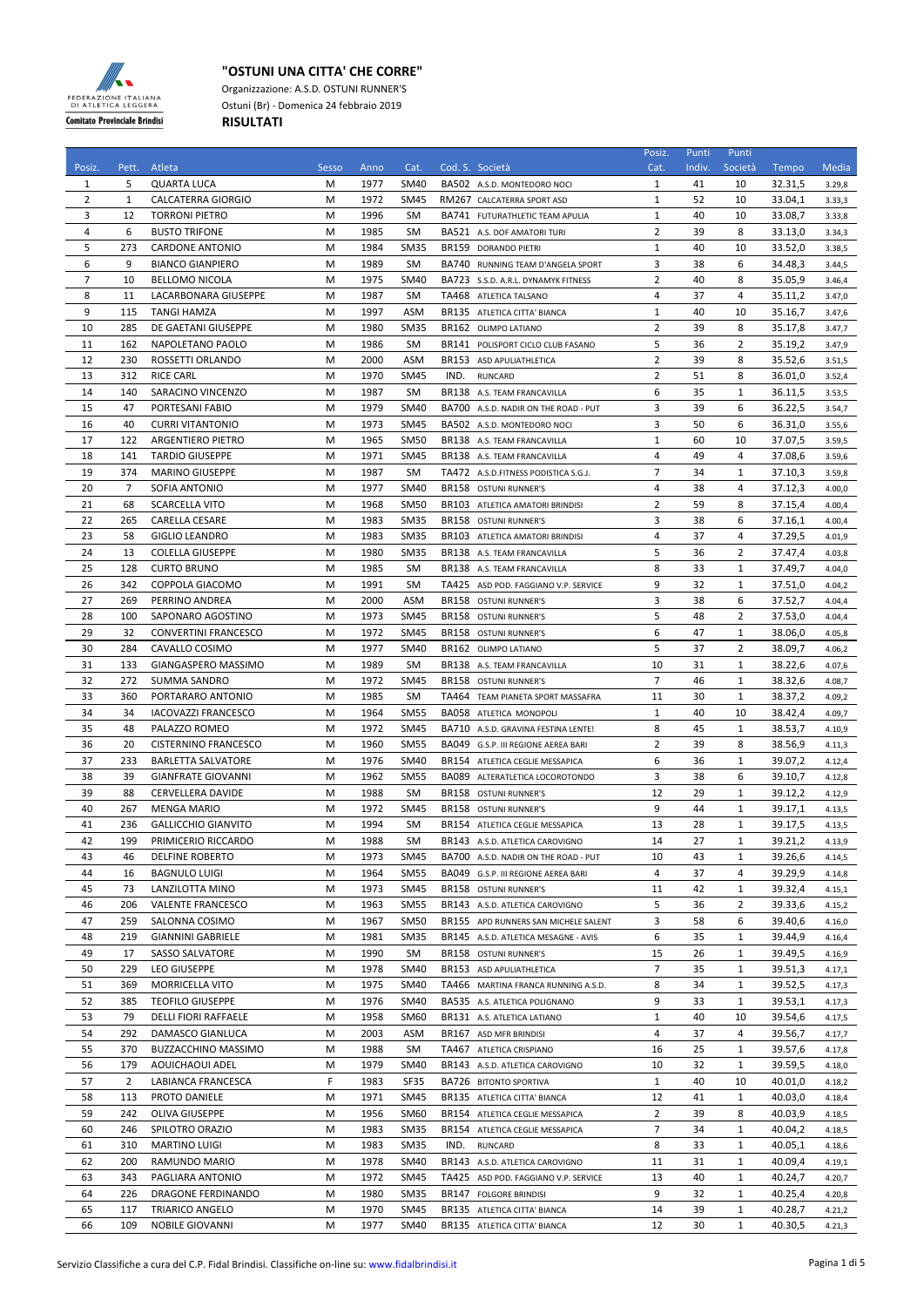

## **"OSTUNI UNA CITTA' CHE CORRE"**

Organizzazione: A.S.D. OSTUNI RUNNER'S Ostuni (Br) - Domenica 24 febbraio 2019 **RISULTATI**

|                |       |                             |       |      |             |       |                                       | Posiz.         | Punti  | Punti          |         |        |
|----------------|-------|-----------------------------|-------|------|-------------|-------|---------------------------------------|----------------|--------|----------------|---------|--------|
| Posiz.         | Pett. | Atleta                      | Sesso | Anno | Cat.        |       | Cod. S. Società                       | Cat.           | Indiv. | Società        | Tempo   | Media  |
| 1              | 5     | <b>QUARTA LUCA</b>          | M     | 1977 | <b>SM40</b> |       | BA502 A.S.D. MONTEDORO NOCI           | 1              | 41     | 10             | 32.31,5 | 3.29,8 |
| $\overline{2}$ | 1     | <b>CALCATERRA GIORGIO</b>   | М     | 1972 | SM45        |       | RM267 CALCATERRA SPORT ASD            | $\mathbf{1}$   | 52     | 10             | 33.04,1 | 3.33,3 |
| 3              | 12    | <b>TORRONI PIETRO</b>       | M     | 1996 | SM          |       | BA741 FUTURATHLETIC TEAM APULIA       | $\mathbf{1}$   | 40     | 10             | 33.08,7 | 3.33,8 |
| 4              | 6     | <b>BUSTO TRIFONE</b>        | M     | 1985 | SM          |       | BA521 A.S. DOF AMATORI TURI           | $\overline{2}$ | 39     | 8              | 33.13,0 | 3.34,3 |
| 5              | 273   | <b>CARDONE ANTONIO</b>      | M     | 1984 | <b>SM35</b> |       | BR159 DORANDO PIETRI                  | $\mathbf{1}$   | 40     | 10             | 33.52,0 | 3.38,5 |
| 6              | 9     | <b>BIANCO GIANPIERO</b>     | М     | 1989 | SM          |       | BA740 RUNNING TEAM D'ANGELA SPORT     | 3              | 38     | 6              | 34.48,3 | 3.44,5 |
| $\overline{7}$ | 10    | <b>BELLOMO NICOLA</b>       | M     | 1975 | SM40        |       | BA723 S.S.D. A.R.L. DYNAMYK FITNESS   | $\overline{2}$ | 40     | 8              | 35.05,9 | 3.46,4 |
| 8              | 11    | LACARBONARA GIUSEPPE        | M     | 1987 | SM          |       | TA468 ATLETICA TALSANO                | 4              | 37     | 4              | 35.11,2 | 3.47,0 |
| 9              | 115   | <b>TANGI HAMZA</b>          | M     | 1997 | ASM         |       | BR135 ATLETICA CITTA' BIANCA          | 1              | 40     | 10             | 35.16,7 | 3.47,6 |
| 10             | 285   | DE GAETANI GIUSEPPE         | М     | 1980 | <b>SM35</b> |       | BR162 OLIMPO LATIANO                  | $\overline{2}$ | 39     | 8              | 35.17,8 | 3.47,7 |
| 11             | 162   | NAPOLETANO PAOLO            | M     | 1986 | SM          |       | BR141 POLISPORT CICLO CLUB FASANO     | 5              | 36     | 2              | 35.19,2 | 3.47,9 |
| 12             | 230   | ROSSETTI ORLANDO            | M     | 2000 | <b>ASM</b>  |       | BR153 ASD APULIATHLETICA              | $\overline{2}$ | 39     | 8              | 35.52,6 |        |
|                |       |                             |       |      |             |       |                                       |                |        |                |         | 3.51,5 |
| 13             | 312   | <b>RICE CARL</b>            | M     | 1970 | SM45        | IND.  | <b>RUNCARD</b>                        | $\overline{2}$ | 51     | 8              | 36.01,0 | 3.52,4 |
| 14             | 140   | SARACINO VINCENZO           | M     | 1987 | SM          |       | BR138 A.S. TEAM FRANCAVILLA           | 6              | 35     | 1              | 36.11,5 | 3.53,5 |
| 15             | 47    | PORTESANI FABIO             | M     | 1979 | SM40        |       | BA700 A.S.D. NADIR ON THE ROAD - PUT  | 3              | 39     | 6              | 36.22,5 | 3.54,7 |
| 16             | 40    | <b>CURRI VITANTONIO</b>     | M     | 1973 | <b>SM45</b> |       | BA502 A.S.D. MONTEDORO NOCI           | 3              | 50     | 6              | 36.31,0 | 3.55,6 |
| 17             | 122   | <b>ARGENTIERO PIETRO</b>    | М     | 1965 | <b>SM50</b> |       | BR138 A.S. TEAM FRANCAVILLA           | 1              | 60     | 10             | 37.07,5 | 3.59,5 |
| 18             | 141   | <b>TARDIO GIUSEPPE</b>      | M     | 1971 | SM45        |       | BR138 A.S. TEAM FRANCAVILLA           | 4              | 49     | 4              | 37.08.6 | 3.59,6 |
| 19             | 374   | <b>MARINO GIUSEPPE</b>      | M     | 1987 | SM          |       | TA472 A.S.D. FITNESS PODISTICA S.G.J. | $\overline{7}$ | 34     | 1              | 37.10,3 | 3.59,8 |
| 20             | 7     | SOFIA ANTONIO               | M     | 1977 | <b>SM40</b> |       | BR158 OSTUNI RUNNER'S                 | 4              | 38     | 4              | 37.12,3 | 4.00,0 |
| 21             | 68    | SCARCELLA VITO              | M     | 1968 | <b>SM50</b> |       | BR103 ATLETICA AMATORI BRINDISI       | 2              | 59     | 8              | 37.15,4 | 4.00,4 |
| 22             | 265   | CARELLA CESARE              | М     | 1983 | SM35        |       | BR158 OSTUNI RUNNER'S                 | 3              | 38     | 6              | 37.16.1 | 4.00,4 |
| 23             | 58    | <b>GIGLIO LEANDRO</b>       | M     | 1983 | <b>SM35</b> |       | BR103 ATLETICA AMATORI BRINDISI       | 4              | 37     | 4              | 37.29,5 | 4.01,9 |
| 24             | 13    | <b>COLELLA GIUSEPPE</b>     | М     | 1980 | SM35        |       | BR138 A.S. TEAM FRANCAVILLA           | 5              | 36     | $\overline{2}$ | 37.47,4 | 4.03,8 |
| 25             | 128   | <b>CURTO BRUNO</b>          | М     | 1985 | SM          |       | BR138 A.S. TEAM FRANCAVILLA           | 8              | 33     | 1              | 37.49,7 | 4.04,0 |
| 26             | 342   | COPPOLA GIACOMO             | M     | 1991 | SM          |       | TA425 ASD POD. FAGGIANO V.P. SERVICE  | 9              | 32     | 1              | 37.51.0 | 4.04,2 |
| 27             | 269   | PERRINO ANDREA              | M     | 2000 | ASM         |       | BR158 OSTUNI RUNNER'S                 | 3              | 38     | 6              | 37.52,7 | 4.04,4 |
| 28             | 100   |                             | M     | 1973 |             |       |                                       | 5              | 48     | 2              |         |        |
|                |       | SAPONARO AGOSTINO           |       |      | SM45        |       | BR158 OSTUNI RUNNER'S                 |                |        |                | 37.53,0 | 4.04,4 |
| 29             | 32    | CONVERTINI FRANCESCO        | M     | 1972 | SM45        |       | BR158 OSTUNI RUNNER'S                 | 6              | 47     | 1              | 38.06,0 | 4.05,8 |
| 30             | 284   | CAVALLO COSIMO              | M     | 1977 | SM40        |       | BR162 OLIMPO LATIANO                  | 5              | 37     | 2              | 38.09,7 | 4.06,2 |
| 31             | 133   | GIANGASPERO MASSIMO         | М     | 1989 | SM          |       | BR138 A.S. TEAM FRANCAVILLA           | 10             | 31     | 1              | 38.22,6 | 4.07,6 |
| 32             | 272   | <b>SUMMA SANDRO</b>         | M     | 1972 | SM45        |       | BR158 OSTUNI RUNNER'S                 | $\overline{7}$ | 46     | 1              | 38.32,6 | 4.08,7 |
| 33             | 360   | PORTARARO ANTONIO           | M     | 1985 | <b>SM</b>   |       | TA464 TEAM PIANETA SPORT MASSAFRA     | 11             | 30     | 1              | 38.37,2 | 4.09,2 |
| 34             | 34    | <b>IACOVAZZI FRANCESCO</b>  | M     | 1964 | <b>SM55</b> |       | <b>BA058 ATLETICA MONOPOLI</b>        | $\mathbf{1}$   | 40     | 10             | 38.42,4 | 4.09,7 |
| 35             | 48    | PALAZZO ROMEO               | M     | 1972 | SM45        |       | BA710 A.S.D. GRAVINA FESTINA LENTE!   | 8              | 45     | 1              | 38.53,7 | 4.10,9 |
| 36             | 20    | <b>CISTERNINO FRANCESCO</b> | M     | 1960 | <b>SM55</b> |       | BA049 G.S.P. III REGIONE AEREA BARI   | $\overline{2}$ | 39     | 8              | 38.56,9 | 4.11,3 |
| 37             | 233   | <b>BARLETTA SALVATORE</b>   | M     | 1976 | SM40        |       | BR154 ATLETICA CEGLIE MESSAPICA       | 6              | 36     | $\mathbf{1}$   | 39.07,2 | 4.12,4 |
| 38             | 39    | <b>GIANFRATE GIOVANNI</b>   | М     | 1962 | <b>SM55</b> | BA089 | ALTERATLETICA LOCOROTONDO             | 3              | 38     | 6              | 39.10,7 | 4.12,8 |
| 39             | 88    | <b>CERVELLERA DAVIDE</b>    | M     | 1988 | SM          |       | BR158 OSTUNI RUNNER'S                 | 12             | 29     | 1              | 39.12,2 | 4.12,9 |
| 40             | 267   | <b>MENGA MARIO</b>          | M     | 1972 | SM45        |       | BR158 OSTUNI RUNNER'S                 | 9              | 44     | 1              | 39.17,1 | 4.13,5 |
| 41             | 236   | <b>GALLICCHIO GIANVITO</b>  | M     | 1994 | <b>SM</b>   |       | BR154 ATLETICA CEGLIE MESSAPICA       | 13             | 28     | $\mathbf{1}$   | 39.17,5 | 4.13,5 |
| 42             | 199   | PRIMICERIO RICCARDO         | M     | 1988 | SM          |       | BR143 A.S.D. ATLETICA CAROVIGNO       | 14             | 27     | $\mathbf{1}$   | 39.21,2 | 4.13,9 |
| 43             | 46    | DELFINE ROBERTO             | М     | 1973 | SM45        |       | BA700 A.S.D. NADIR ON THE ROAD - PUT  | 10             | 43     | 1              | 39.26,6 | 4.14,5 |
| 44             | 16    |                             | М     | 1964 | <b>SM55</b> |       | BA049 G.S.P. III REGIONE AEREA BARI   | 4              | 37     | 4              | 39.29,9 |        |
|                | 73    | <b>BAGNULO LUIGI</b>        |       |      |             |       |                                       |                |        |                |         | 4.14,8 |
| 45             |       | LANZILOTTA MINO             | M     | 1973 | SM45        |       | BR158 OSTUNI RUNNER'S                 | 11             | 42     | $\mathbf{1}$   | 39.32,4 | 4.15,1 |
| 46             | 206   | VALENTE FRANCESCO           | М     | 1963 | <b>SM55</b> |       | BR143 A.S.D. ATLETICA CAROVIGNO       | 5              | 36     | 2              | 39.33,6 | 4.15,2 |
| 47             | 259   | SALONNA COSIMO              | M     | 1967 | SM50        |       | BR155 APD RUNNERS SAN MICHELE SALENT  | 3              | 58     | 6              | 39.40,6 | 4.16,0 |
| 48             | 219   | <b>GIANNINI GABRIELE</b>    | M     | 1981 | SM35        |       | BR145 A.S.D. ATLETICA MESAGNE - AVIS  | 6              | 35     | 1              | 39.44,9 | 4.16,4 |
| 49             | 17    | <b>SASSO SALVATORE</b>      | М     | 1990 | SM          |       | BR158 OSTUNI RUNNER'S                 | 15             | 26     | 1              | 39.49,5 | 4.16,9 |
| 50             | 229   | <b>LEO GIUSEPPE</b>         | M     | 1978 | SM40        |       | BR153 ASD APULIATHLETICA              | 7              | 35     | 1              | 39.51,3 | 4.17,1 |
| 51             | 369   | MORRICELLA VITO             | М     | 1975 | SM40        |       | TA466 MARTINA FRANCA RUNNING A.S.D.   | 8              | 34     | 1              | 39.52,5 | 4.17,3 |
| 52             | 385   | <b>TEOFILO GIUSEPPE</b>     | M     | 1976 | SM40        |       | BA535 A.S. ATLETICA POLIGNANO         | 9              | 33     | 1              | 39.53,1 | 4.17,3 |
| 53             | 79    | <b>DELLI FIORI RAFFAELE</b> | Μ     | 1958 | SM60        |       | BR131 A.S. ATLETICA LATIANO           | $1\,$          | 40     | 10             | 39.54,6 | 4.17,5 |
| 54             | 292   | DAMASCO GIANLUCA            | М     | 2003 | ASM         |       | BR167 ASD MFR BRINDISI                | 4              | 37     | 4              | 39.56,7 | 4.17,7 |
| 55             | 370   | BUZZACCHINO MASSIMO         | M     | 1988 | SM          |       | TA467 ATLETICA CRISPIANO              | 16             | 25     | $\mathbf{1}$   | 39.57,6 | 4.17,8 |
| 56             | 179   | AOUICHAOUI ADEL             | Μ     | 1979 | SM40        |       | BR143 A.S.D. ATLETICA CAROVIGNO       | 10             | 32     | 1              | 39.59,5 | 4.18,0 |
| 57             | 2     | LABIANCA FRANCESCA          | F     | 1983 | SF35        |       | BA726 BITONTO SPORTIVA                | 1              | 40     | 10             | 40.01,0 | 4.18,2 |
| 58             | 113   | PROTO DANIELE               | Μ     | 1971 | SM45        |       | BR135 ATLETICA CITTA' BIANCA          | 12             | 41     | 1              | 40.03,0 | 4.18,4 |
| 59             | 242   | OLIVA GIUSEPPE              | M     | 1956 | SM60        |       | BR154 ATLETICA CEGLIE MESSAPICA       | $\overline{2}$ | 39     | 8              | 40.03,9 | 4.18,5 |
| 60             | 246   |                             |       |      |             |       |                                       | 7              |        |                |         |        |
|                |       | SPILOTRO ORAZIO             | М     | 1983 | SM35        |       | BR154 ATLETICA CEGLIE MESSAPICA       |                | 34     | 1              | 40.04,2 | 4.18,5 |
| 61             | 310   | <b>MARTINO LUIGI</b>        | Μ     | 1983 | SM35        | IND.  | RUNCARD                               | 8              | 33     | 1              | 40.05,1 | 4.18,6 |
| 62             | 200   | RAMUNDO MARIO               | M     | 1978 | SM40        |       | BR143 A.S.D. ATLETICA CAROVIGNO       | 11             | 31     | 1              | 40.09,4 | 4.19,1 |
| 63             | 343   | PAGLIARA ANTONIO            | M     | 1972 | SM45        |       | TA425 ASD POD. FAGGIANO V.P. SERVICE  | 13             | 40     | $\mathbf{1}$   | 40.24,7 | 4.20,7 |
| 64             | 226   | DRAGONE FERDINANDO          | M     | 1980 | SM35        |       | BR147 FOLGORE BRINDISI                | 9              | 32     | 1              | 40.25,4 | 4.20,8 |
| 65             | 117   | <b>TRIARICO ANGELO</b>      | М     | 1970 | SM45        |       | BR135 ATLETICA CITTA' BIANCA          | 14             | 39     | $\mathbf{1}$   | 40.28,7 | 4.21,2 |
| 66             | 109   | NOBILE GIOVANNI             | Μ     | 1977 | SM40        |       | BR135 ATLETICA CITTA' BIANCA          | 12             | 30     | $\mathbf{1}$   | 40.30,5 | 4.21,3 |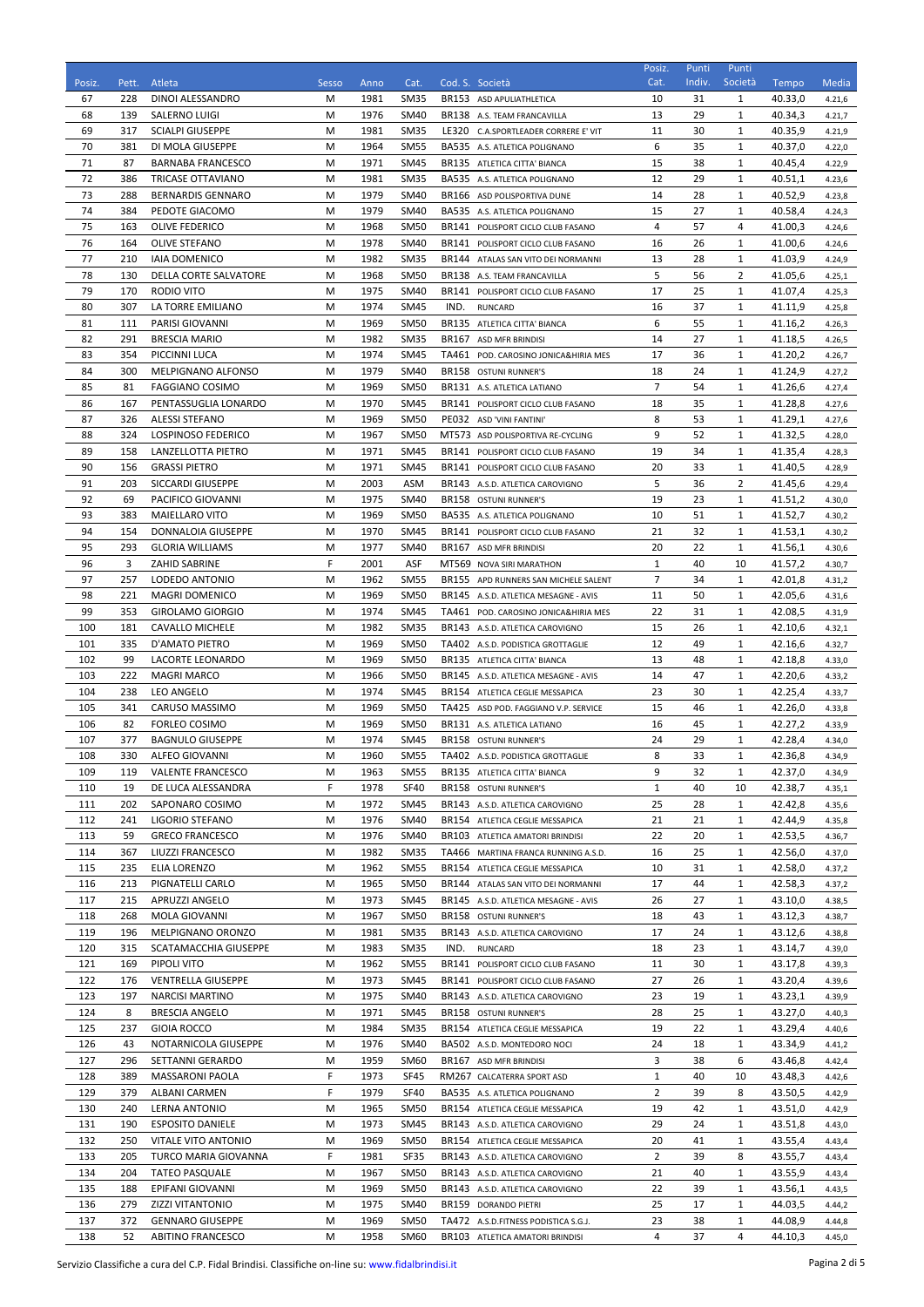| Posiz.     | Pett.      | Atleta                                              | Sesso  | Anno         | Cat.                       |      | Cod. S. Società                                                               | Posiz.<br>Cat.       | Punti<br>Indiv. | Punti<br>Società | Tempo              | <b>Media</b>     |
|------------|------------|-----------------------------------------------------|--------|--------------|----------------------------|------|-------------------------------------------------------------------------------|----------------------|-----------------|------------------|--------------------|------------------|
| 67         | 228        | DINOI ALESSANDRO                                    | М      | 1981         | <b>SM35</b>                |      | BR153 ASD APULIATHLETICA                                                      | 10                   | 31              | 1                | 40.33,0            | 4.21,6           |
| 68         | 139        | SALERNO LUIGI                                       | М      | 1976         | SM40                       |      | BR138 A.S. TEAM FRANCAVILLA                                                   | 13                   | 29              | 1                | 40.34,3            | 4.21,7           |
| 69         | 317        | <b>SCIALPI GIUSEPPE</b>                             | M      | 1981         | SM <sub>35</sub>           |      | LE320 C.A.SPORTLEADER CORRERE E' VIT                                          | 11                   | 30              | 1                | 40.35,9            | 4.21,9           |
| 70         | 381        | DI MOLA GIUSEPPE                                    | М      | 1964         | <b>SM55</b>                |      | BA535 A.S. ATLETICA POLIGNANO                                                 | 6                    | 35              | 1                | 40.37,0            | 4.22,0           |
| 71         | 87         | <b>BARNABA FRANCESCO</b>                            | М      | 1971         | <b>SM45</b>                |      | BR135 ATLETICA CITTA' BIANCA                                                  | 15                   | 38              | 1                | 40.45,4            | 4.22,9           |
| 72         | 386        | TRICASE OTTAVIANO                                   | М      | 1981         | <b>SM35</b>                |      | BA535 A.S. ATLETICA POLIGNANO                                                 | 12                   | 29              | 1                | 40.51,1            | 4.23,6           |
| 73<br>74   | 288<br>384 | <b>BERNARDIS GENNARO</b>                            | М<br>М | 1979<br>1979 | <b>SM40</b><br><b>SM40</b> |      | BR166 ASD POLISPORTIVA DUNE                                                   | 14<br>15             | 28<br>27        | 1<br>1           | 40.52,9<br>40.58,4 | 4.23,8           |
| 75         | 163        | PEDOTE GIACOMO<br><b>OLIVE FEDERICO</b>             | М      | 1968         | <b>SM50</b>                |      | BA535 A.S. ATLETICA POLIGNANO<br>BR141 POLISPORT CICLO CLUB FASANO            | 4                    | 57              | 4                | 41.00,3            | 4.24,3<br>4.24,6 |
| 76         | 164        | OLIVE STEFANO                                       | М      | 1978         | <b>SM40</b>                |      | BR141 POLISPORT CICLO CLUB FASANO                                             | 16                   | 26              | 1                | 41.00,6            | 4.24,6           |
| 77         | 210        | <b>IAIA DOMENICO</b>                                | М      | 1982         | SM <sub>35</sub>           |      | BR144 ATALAS SAN VITO DEI NORMANNI                                            | 13                   | 28              | 1                | 41.03,9            | 4.24,9           |
| 78         | 130        | <b>DELLA CORTE SALVATORE</b>                        | M      | 1968         | <b>SM50</b>                |      | BR138 A.S. TEAM FRANCAVILLA                                                   | 5                    | 56              | 2                | 41.05,6            | 4.25,1           |
| 79         | 170        | RODIO VITO                                          | М      | 1975         | <b>SM40</b>                |      | BR141 POLISPORT CICLO CLUB FASANO                                             | 17                   | 25              | 1                | 41.07,4            | 4.25,3           |
| 80         | 307        | LA TORRE EMILIANO                                   | М      | 1974         | SM45                       | IND. | <b>RUNCARD</b>                                                                | 16                   | 37              | 1                | 41.11,9            | 4.25,8           |
| 81         | 111        | PARISI GIOVANNI                                     | М      | 1969         | <b>SM50</b>                |      | BR135 ATLETICA CITTA' BIANCA                                                  | 6                    | 55              | 1                | 41.16,2            | 4.26,3           |
| 82         | 291        | <b>BRESCIA MARIO</b>                                | M      | 1982         | <b>SM35</b>                |      | BR167 ASD MFR BRINDISI                                                        | 14                   | 27              | 1                | 41.18,5            | 4.26,5           |
| 83         | 354        | PICCINNI LUCA                                       | М      | 1974         | <b>SM45</b>                |      | TA461 POD. CAROSINO JONICA& HIRIA MES                                         | 17                   | 36              | 1                | 41.20,2            | 4.26,7           |
| 84         | 300        | MELPIGNANO ALFONSO                                  | М      | 1979         | <b>SM40</b>                |      | BR158 OSTUNI RUNNER'S                                                         | 18                   | 24              | 1                | 41.24,9            | 4.27,2           |
| 85<br>86   | 81<br>167  | <b>FAGGIANO COSIMO</b><br>PENTASSUGLIA LONARDO      | М<br>M | 1969<br>1970 | <b>SM50</b><br><b>SM45</b> |      | BR131 A.S. ATLETICA LATIANO<br>BR141 POLISPORT CICLO CLUB FASANO              | $\overline{7}$<br>18 | 54<br>35        | 1<br>1           | 41.26,6<br>41.28,8 | 4.27,4<br>4.27,6 |
| 87         | 326        | <b>ALESSI STEFANO</b>                               | М      | 1969         | <b>SM50</b>                |      | PE032 ASD 'VINI FANTINI'                                                      | 8                    | 53              | 1                | 41.29,1            | 4.27,6           |
| 88         | 324        | <b>LOSPINOSO FEDERICO</b>                           | М      | 1967         | <b>SM50</b>                |      | MT573 ASD POLISPORTIVA RE-CYCLING                                             | 9                    | 52              | 1                | 41.32,5            | 4.28,0           |
| 89         | 158        | LANZELLOTTA PIETRO                                  | М      | 1971         | <b>SM45</b>                |      | BR141 POLISPORT CICLO CLUB FASANO                                             | 19                   | 34              | 1                | 41.35,4            | 4.28,3           |
| 90         | 156        | <b>GRASSI PIETRO</b>                                | М      | 1971         | SM45                       |      | BR141 POLISPORT CICLO CLUB FASANO                                             | 20                   | 33              | 1                | 41.40,5            | 4.28,9           |
| 91         | 203        | SICCARDI GIUSEPPE                                   | M      | 2003         | <b>ASM</b>                 |      | BR143 A.S.D. ATLETICA CAROVIGNO                                               | 5                    | 36              | 2                | 41.45,6            | 4.29,4           |
| 92         | 69         | PACIFICO GIOVANNI                                   | М      | 1975         | <b>SM40</b>                |      | BR158 OSTUNI RUNNER'S                                                         | 19                   | 23              | 1                | 41.51,2            | 4.30,0           |
| 93         | 383        | <b>MAIELLARO VITO</b>                               | М      | 1969         | <b>SM50</b>                |      | BA535 A.S. ATLETICA POLIGNANO                                                 | 10                   | 51              | 1                | 41.52,7            | 4.30,2           |
| 94         | 154        | DONNALOIA GIUSEPPE                                  | М      | 1970         | SM45                       |      | BR141 POLISPORT CICLO CLUB FASANO                                             | 21                   | 32              | 1                | 41.53,1            | 4.30,2           |
| 95         | 293        | <b>GLORIA WILLIAMS</b>                              | М      | 1977         | SM40                       |      | BR167 ASD MFR BRINDISI                                                        | 20                   | 22              | 1                | 41.56,1            | 4.30,6           |
| 96         | 3          | ZAHID SABRINE                                       | F      | 2001         | ASF                        |      | MT569 NOVA SIRI MARATHON                                                      | $\mathbf{1}$         | 40              | 10               | 41.57,2            | 4.30,7           |
| 97         | 257        | LODEDO ANTONIO                                      | М      | 1962         | <b>SM55</b>                |      | BR155 APD RUNNERS SAN MICHELE SALENT                                          | $\overline{7}$       | 34              | 1                | 42.01,8            | 4.31,2           |
| 98<br>99   | 221<br>353 | <b>MAGRI DOMENICO</b><br><b>GIROLAMO GIORGIO</b>    | М<br>М | 1969<br>1974 | <b>SM50</b><br><b>SM45</b> |      | BR145 A.S.D. ATLETICA MESAGNE - AVIS<br>TA461 POD. CAROSINO JONICA& HIRIA MES | 11<br>22             | 50<br>31        | 1<br>1           | 42.05,6<br>42.08,5 | 4.31,6<br>4.31,9 |
| 100        | 181        | <b>CAVALLO MICHELE</b>                              | М      | 1982         | <b>SM35</b>                |      | BR143 A.S.D. ATLETICA CAROVIGNO                                               | 15                   | 26              | 1                | 42.10,6            | 4.32,1           |
| 101        | 335        | D'AMATO PIETRO                                      | М      | 1969         | <b>SM50</b>                |      | TA402 A.S.D. PODISTICA GROTTAGLIE                                             | 12                   | 49              | 1                | 42.16,6            | 4.32,7           |
| 102        | 99         | LACORTE LEONARDO                                    | М      | 1969         | <b>SM50</b>                |      | BR135 ATLETICA CITTA' BIANCA                                                  | 13                   | 48              | 1                | 42.18,8            | 4.33,0           |
| 103        | 222        | <b>MAGRI MARCO</b>                                  | M      | 1966         | <b>SM50</b>                |      | BR145 A.S.D. ATLETICA MESAGNE - AVIS                                          | 14                   | 47              | 1                | 42.20,6            | 4.33,2           |
| 104        | 238        | LEO ANGELO                                          | М      | 1974         | SM45                       |      | BR154 ATLETICA CEGLIE MESSAPICA                                               | 23                   | 30              | 1                | 42.25,4            | 4.33,7           |
| 105        | 341        | CARUSO MASSIMO                                      | М      | 1969         | <b>SM50</b>                |      | TA425 ASD POD. FAGGIANO V.P. SERVICE                                          | 15                   | 46              | 1                | 42.26,0            | 4.33,8           |
| 106        | 82         | <b>FORLEO COSIMO</b>                                | М      | 1969         | <b>SM50</b>                |      | BR131 A.S. ATLETICA LATIANO                                                   | 16                   | 45              | 1                | 42.27,2            | 4.33,9           |
| 107        | 377        | <b>BAGNULO GIUSEPPE</b>                             | M      | 1974         | <b>SM45</b>                |      | BR158 OSTUNI RUNNER'S                                                         | 24                   | 29              | $\mathbf{1}$     | 42.28,4            | 4.34,0           |
| 108        | 330        | <b>ALFEO GIOVANNI</b>                               | M      | 1960         | <b>SM55</b>                |      | TA402 A.S.D. PODISTICA GROTTAGLIE                                             | 8                    | 33              | $\mathbf 1$      | 42.36,8            | 4.34,9           |
| 109        | 119<br>19  | <b>VALENTE FRANCESCO</b>                            | M<br>F | 1963         | <b>SM55</b>                |      | BR135 ATLETICA CITTA' BIANCA<br>BR158 OSTUNI RUNNER'S                         | 9<br>$1\,$           | 32<br>40        | 1<br>10          | 42.37,0            | 4.34,9           |
| 110<br>111 | 202        | DE LUCA ALESSANDRA<br>SAPONARO COSIMO               | M      | 1978<br>1972 | <b>SF40</b><br>SM45        |      | BR143 A.S.D. ATLETICA CAROVIGNO                                               | 25                   | 28              | 1                | 42.38,7<br>42.42,8 | 4.35,1<br>4.35,6 |
| 112        | 241        | LIGORIO STEFANO                                     | М      | 1976         | SM40                       |      | BR154 ATLETICA CEGLIE MESSAPICA                                               | 21                   | 21              | 1                | 42.44,9            | 4.35,8           |
| 113        | 59         | <b>GRECO FRANCESCO</b>                              | M      | 1976         | SM40                       |      | BR103 ATLETICA AMATORI BRINDISI                                               | 22                   | 20              | 1                | 42.53,5            | 4.36,7           |
| 114        | 367        | LIUZZI FRANCESCO                                    | М      | 1982         | SM35                       |      | TA466 MARTINA FRANCA RUNNING A.S.D.                                           | 16                   | 25              | 1                | 42.56,0            | 4.37,0           |
| 115        | 235        | ELIA LORENZO                                        | M      | 1962         | <b>SM55</b>                |      | BR154 ATLETICA CEGLIE MESSAPICA                                               | 10                   | 31              | 1                | 42.58,0            | 4.37,2           |
| 116        | 213        | PIGNATELLI CARLO                                    | М      | 1965         | <b>SM50</b>                |      | BR144 ATALAS SAN VITO DEI NORMANNI                                            | 17                   | 44              | 1                | 42.58,3            | 4.37,2           |
| 117        | 215        | APRUZZI ANGELO                                      | M      | 1973         | <b>SM45</b>                |      | BR145 A.S.D. ATLETICA MESAGNE - AVIS                                          | 26                   | 27              | 1                | 43.10,0            | 4.38,5           |
| 118        | 268        | <b>MOLA GIOVANNI</b>                                | M      | 1967         | <b>SM50</b>                |      | BR158 OSTUNI RUNNER'S                                                         | 18                   | 43              | 1                | 43.12,3            | 4.38,7           |
| 119        | 196        | MELPIGNANO ORONZO                                   | M      | 1981         | SM35                       |      | BR143 A.S.D. ATLETICA CAROVIGNO                                               | 17                   | 24              | 1                | 43.12,6            | 4.38,8           |
| 120        | 315        | SCATAMACCHIA GIUSEPPE                               | M      | 1983         | SM35                       | IND. | <b>RUNCARD</b>                                                                | 18                   | 23              | 1                | 43.14,7            | 4.39,0           |
| 121        | 169        | PIPOLI VITO                                         | М      | 1962         | <b>SM55</b>                |      | BR141 POLISPORT CICLO CLUB FASANO                                             | 11                   | 30              | 1                | 43.17,8            | 4.39,3           |
| 122<br>123 | 176<br>197 | <b>VENTRELLA GIUSEPPE</b><br><b>NARCISI MARTINO</b> | M<br>M | 1973<br>1975 | SM45<br>SM40               |      | BR141 POLISPORT CICLO CLUB FASANO                                             | 27<br>23             | 26<br>19        | 1<br>1           | 43.20,4<br>43.23,1 | 4.39,6           |
| 124        | 8          | <b>BRESCIA ANGELO</b>                               | М      | 1971         | SM45                       |      | BR143 A.S.D. ATLETICA CAROVIGNO<br>BR158 OSTUNI RUNNER'S                      | 28                   | 25              | 1                | 43.27,0            | 4.39,9<br>4.40,3 |
| 125        | 237        | <b>GIOIA ROCCO</b>                                  | М      | 1984         | <b>SM35</b>                |      | BR154 ATLETICA CEGLIE MESSAPICA                                               | 19                   | 22              | 1                | 43.29,4            | 4.40,6           |
| 126        | 43         | NOTARNICOLA GIUSEPPE                                | M      | 1976         | SM40                       |      | BA502 A.S.D. MONTEDORO NOCI                                                   | 24                   | 18              | 1                | 43.34,9            | 4.41,2           |
| 127        | 296        | SETTANNI GERARDO                                    | M      | 1959         | SM60                       |      | BR167 ASD MFR BRINDISI                                                        | 3                    | 38              | 6                | 43.46,8            | 4.42,4           |
| 128        | 389        | MASSARONI PAOLA                                     | F      | 1973         | SF45                       |      | RM267 CALCATERRA SPORT ASD                                                    | $\mathbf{1}$         | 40              | 10               | 43.48,3            | 4.42,6           |
| 129        | 379        | ALBANI CARMEN                                       | F      | 1979         | SF40                       |      | BA535 A.S. ATLETICA POLIGNANO                                                 | $\overline{2}$       | 39              | 8                | 43.50,5            | 4.42,9           |
| 130        | 240        | LERNA ANTONIO                                       | М      | 1965         | <b>SM50</b>                |      | BR154 ATLETICA CEGLIE MESSAPICA                                               | 19                   | 42              | 1                | 43.51,0            | 4.42,9           |
| 131        | 190        | <b>ESPOSITO DANIELE</b>                             | М      | 1973         | SM45                       |      | BR143 A.S.D. ATLETICA CAROVIGNO                                               | 29                   | 24              | 1                | 43.51,8            | 4.43,0           |
| 132        | 250        | VITALE VITO ANTONIO                                 | М      | 1969         | <b>SM50</b>                |      | BR154 ATLETICA CEGLIE MESSAPICA                                               | 20                   | 41              | 1                | 43.55,4            | 4.43,4           |
| 133        | 205        | TURCO MARIA GIOVANNA                                | F      | 1981         | SF35                       |      | BR143 A.S.D. ATLETICA CAROVIGNO                                               | $\overline{2}$       | 39              | 8                | 43.55,7            | 4.43,4           |
| 134        | 204        | <b>TATEO PASQUALE</b>                               | M      | 1967         | <b>SM50</b>                |      | BR143 A.S.D. ATLETICA CAROVIGNO                                               | 21                   | 40              | 1                | 43.55,9            | 4.43,4           |
| 135<br>136 | 188<br>279 | EPIFANI GIOVANNI                                    | M      | 1969<br>1975 | <b>SM50</b>                |      | BR143 A.S.D. ATLETICA CAROVIGNO                                               | 22<br>25             | 39<br>17        | 1<br>1           | 43.56,1<br>44.03,5 | 4.43,5           |
| 137        | 372        | ZIZZI VITANTONIO<br><b>GENNARO GIUSEPPE</b>         | M<br>М | 1969         | SM40<br>SM50               |      | BR159 DORANDO PIETRI<br>TA472 A.S.D.FITNESS PODISTICA S.G.J.                  | 23                   | 38              | 1                | 44.08,9            | 4.44,2<br>4.44,8 |
| 138        | 52         | ABITINO FRANCESCO                                   | M      | 1958         | SM60                       |      | BR103 ATLETICA AMATORI BRINDISI                                               | 4                    | 37              | 4                | 44.10,3            | 4.45,0           |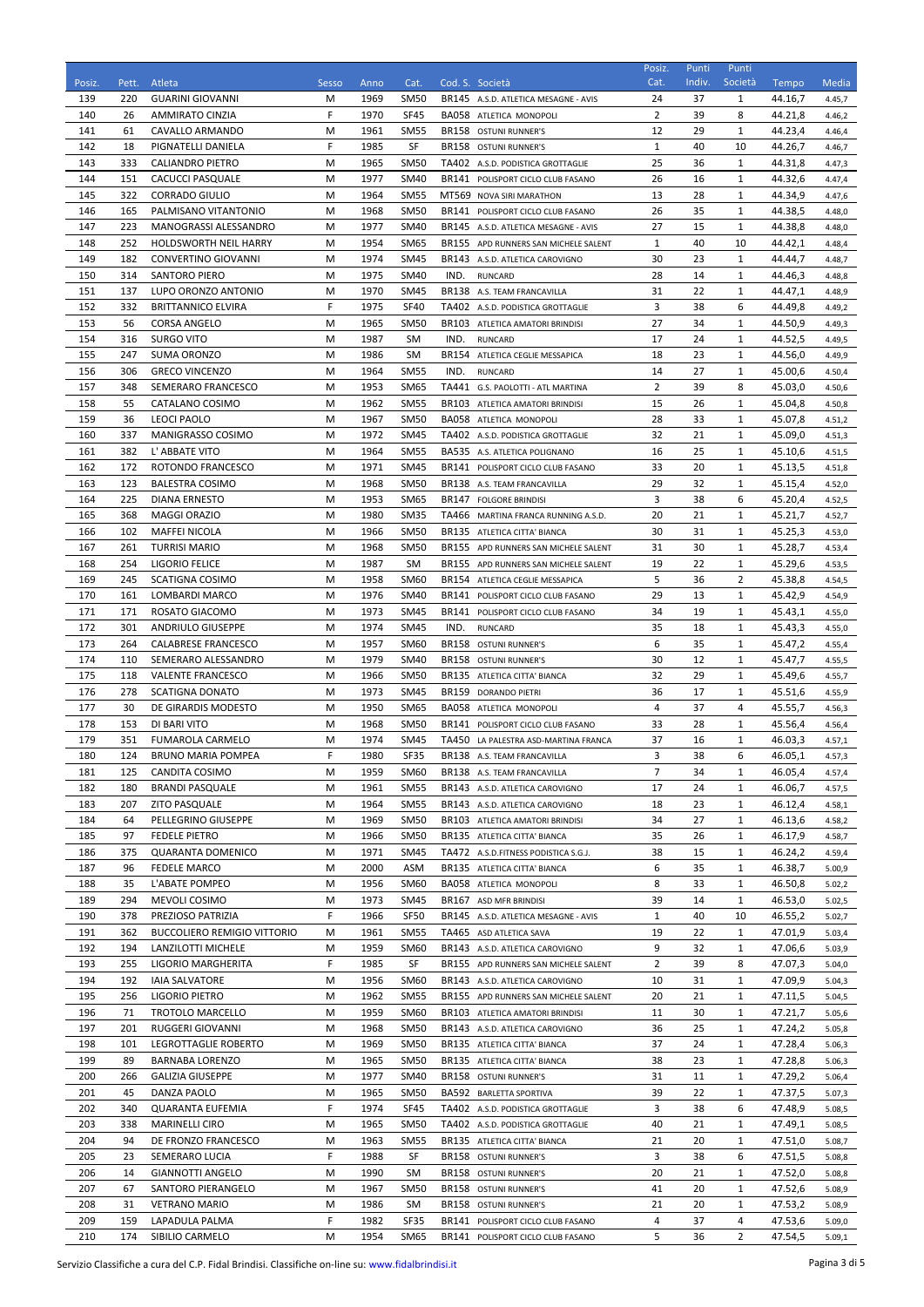| Posiz.     | Pett.      | Atleta                                                  | Sesso  | Anno         | Cat.                       |      | Cod. S. Società                                                              | Posiz.<br>Cat.     | Punti<br>Indiv. | Punti<br>Società   | Tempo              | Media            |
|------------|------------|---------------------------------------------------------|--------|--------------|----------------------------|------|------------------------------------------------------------------------------|--------------------|-----------------|--------------------|--------------------|------------------|
| 139        | 220        | <b>GUARINI GIOVANNI</b>                                 | М      | 1969         | <b>SM50</b>                |      | BR145 A.S.D. ATLETICA MESAGNE - AVIS                                         | 24                 | 37              | 1                  | 44.16,7            | 4.45,7           |
| 140        | 26         | <b>AMMIRATO CINZIA</b>                                  | F      | 1970         | <b>SF45</b>                |      | BA058 ATLETICA MONOPOLI                                                      | 2                  | 39              | 8                  | 44.21,8            | 4.46,2           |
| 141        | 61         | CAVALLO ARMANDO                                         | М      | 1961         | <b>SM55</b>                |      | BR158 OSTUNI RUNNER'S                                                        | 12                 | 29              | $\mathbf{1}$       | 44.23,4            | 4.46,4           |
| 142        | 18         | PIGNATELLI DANIELA                                      | F      | 1985         | SF                         |      | BR158 OSTUNI RUNNER'S                                                        | $\mathbf{1}$       | 40              | 10                 | 44.26,7            | 4.46,7           |
| 143        | 333        | <b>CALIANDRO PIETRO</b>                                 | М      | 1965         | <b>SM50</b>                |      | TA402 A.S.D. PODISTICA GROTTAGLIE                                            | 25                 | 36              | 1                  | 44.31,8            | 4.47,3           |
| 144<br>145 | 151<br>322 | CACUCCI PASQUALE<br><b>CORRADO GIULIO</b>               | М<br>М | 1977<br>1964 | <b>SM40</b><br><b>SM55</b> |      | BR141 POLISPORT CICLO CLUB FASANO<br>MT569 NOVA SIRI MARATHON                | 26<br>13           | 16<br>28        | 1<br>1             | 44.32,6<br>44.34,9 | 4.47,4<br>4.47,6 |
| 146        | 165        | PALMISANO VITANTONIO                                    | М      | 1968         | <b>SM50</b>                |      | BR141 POLISPORT CICLO CLUB FASANO                                            | 26                 | 35              | $\mathbf{1}$       | 44.38,5            | 4.48,0           |
| 147        | 223        | MANOGRASSI ALESSANDRO                                   | М      | 1977         | <b>SM40</b>                |      | BR145 A.S.D. ATLETICA MESAGNE - AVIS                                         | 27                 | 15              | 1                  | 44.38,8            | 4.48,0           |
| 148        | 252        | HOLDSWORTH NEIL HARRY                                   | М      | 1954         | <b>SM65</b>                |      | BR155 APD RUNNERS SAN MICHELE SALENT                                         | $\mathbf{1}$       | 40              | 10                 | 44.42,1            | 4.48,4           |
| 149        | 182        | <b>CONVERTINO GIOVANNI</b>                              | М      | 1974         | <b>SM45</b>                |      | BR143 A.S.D. ATLETICA CAROVIGNO                                              | 30                 | 23              | 1                  | 44.44,7            | 4.48,7           |
| 150        | 314        | <b>SANTORO PIERO</b>                                    | М      | 1975         | <b>SM40</b>                | IND. | <b>RUNCARD</b>                                                               | 28                 | 14              | 1                  | 44.46,3            | 4.48,8           |
| 151<br>152 | 137<br>332 | LUPO ORONZO ANTONIO<br><b>BRITTANNICO ELVIRA</b>        | М<br>F | 1970<br>1975 | <b>SM45</b><br><b>SF40</b> |      | BR138 A.S. TEAM FRANCAVILLA<br>TA402 A.S.D. PODISTICA GROTTAGLIE             | 31<br>3            | 22<br>38        | 1<br>6             | 44.47,1<br>44.49,8 | 4.48,9           |
| 153        | 56         | <b>CORSA ANGELO</b>                                     | М      | 1965         | <b>SM50</b>                |      | BR103 ATLETICA AMATORI BRINDISI                                              | 27                 | 34              | 1                  | 44.50,9            | 4.49,2<br>4.49,3 |
| 154        | 316        | <b>SURGO VITO</b>                                       | М      | 1987         | SM                         | IND. | <b>RUNCARD</b>                                                               | 17                 | 24              | $\mathbf{1}$       | 44.52,5            | 4.49,5           |
| 155        | 247        | SUMA ORONZO                                             | М      | 1986         | <b>SM</b>                  |      | BR154 ATLETICA CEGLIE MESSAPICA                                              | 18                 | 23              | $\mathbf{1}$       | 44.56,0            | 4.49,9           |
| 156        | 306        | <b>GRECO VINCENZO</b>                                   | М      | 1964         | <b>SM55</b>                | IND. | <b>RUNCARD</b>                                                               | 14                 | 27              | 1                  | 45.00,6            | 4.50,4           |
| 157        | 348        | SEMERARO FRANCESCO                                      | М      | 1953         | <b>SM65</b>                |      | TA441 G.S. PAOLOTTI - ATL MARTINA                                            | $\overline{2}$     | 39              | 8                  | 45.03,0            | 4.50,6           |
| 158        | 55         | CATALANO COSIMO                                         | М      | 1962         | <b>SM55</b>                |      | BR103 ATLETICA AMATORI BRINDISI                                              | 15                 | 26              | 1                  | 45.04,8            | 4.50,8           |
| 159<br>160 | 36<br>337  | <b>LEOCI PAOLO</b><br>MANIGRASSO COSIMO                 | М<br>М | 1967<br>1972 | <b>SM50</b><br>SM45        |      | <b>BA058 ATLETICA MONOPOLI</b><br>TA402 A.S.D. PODISTICA GROTTAGLIE          | 28<br>32           | 33<br>21        | 1<br>1             | 45.07,8<br>45.09.0 | 4.51,2<br>4.51,3 |
| 161        | 382        | L' ABBATE VITO                                          | М      | 1964         | <b>SM55</b>                |      | BA535 A.S. ATLETICA POLIGNANO                                                | 16                 | 25              | 1                  | 45.10,6            | 4.51,5           |
| 162        | 172        | ROTONDO FRANCESCO                                       | М      | 1971         | <b>SM45</b>                |      | BR141 POLISPORT CICLO CLUB FASANO                                            | 33                 | 20              | $\mathbf{1}$       | 45.13,5            | 4.51,8           |
| 163        | 123        | <b>BALESTRA COSIMO</b>                                  | М      | 1968         | SM <sub>50</sub>           |      | BR138 A.S. TEAM FRANCAVILLA                                                  | 29                 | 32              | 1                  | 45.15,4            | 4.52,0           |
| 164        | 225        | <b>DIANA ERNESTO</b>                                    | M      | 1953         | <b>SM65</b>                |      | BR147 FOLGORE BRINDISI                                                       | 3                  | 38              | 6                  | 45.20,4            | 4.52,5           |
| 165        | 368        | <b>MAGGI ORAZIO</b>                                     | М      | 1980         | <b>SM35</b>                |      | TA466 MARTINA FRANCA RUNNING A.S.D.                                          | 20                 | 21              | $\mathbf{1}$       | 45.21,7            | 4.52,7           |
| 166        | 102        | <b>MAFFEI NICOLA</b>                                    | М      | 1966         | <b>SM50</b>                |      | BR135 ATLETICA CITTA' BIANCA                                                 | 30                 | 31              | 1                  | 45.25,3            | 4.53,0           |
| 167<br>168 | 261<br>254 | <b>TURRISI MARIO</b><br>LIGORIO FELICE                  | М<br>М | 1968<br>1987 | <b>SM50</b><br>SM          |      | BR155 APD RUNNERS SAN MICHELE SALENT<br>BR155 APD RUNNERS SAN MICHELE SALENT | 31<br>19           | 30<br>22        | 1<br>1             | 45.28,7<br>45.29,6 | 4.53,4<br>4.53,5 |
| 169        | 245        | <b>SCATIGNA COSIMO</b>                                  | М      | 1958         | SM60                       |      | BR154 ATLETICA CEGLIE MESSAPICA                                              | 5                  | 36              | 2                  | 45.38,8            | 4.54,5           |
| 170        | 161        | LOMBARDI MARCO                                          | М      | 1976         | <b>SM40</b>                |      | BR141 POLISPORT CICLO CLUB FASANO                                            | 29                 | 13              | 1                  | 45.42,9            | 4.54,9           |
| 171        | 171        | ROSATO GIACOMO                                          | М      | 1973         | <b>SM45</b>                |      | BR141 POLISPORT CICLO CLUB FASANO                                            | 34                 | 19              | $\mathbf{1}$       | 45.43,1            | 4.55,0           |
| 172        | 301        | <b>ANDRIULO GIUSEPPE</b>                                | М      | 1974         | <b>SM45</b>                | IND. | <b>RUNCARD</b>                                                               | 35                 | 18              | $\mathbf{1}$       | 45.43,3            | 4.55,0           |
| 173        | 264        | CALABRESE FRANCESCO                                     | М      | 1957         | <b>SM60</b>                |      | BR158 OSTUNI RUNNER'S                                                        | 6                  | 35              | $\mathbf{1}$       | 45.47,2            | 4.55,4           |
| 174<br>175 | 110        | SEMERARO ALESSANDRO                                     | М      | 1979<br>1966 | <b>SM40</b><br><b>SM50</b> |      | BR158 OSTUNI RUNNER'S                                                        | 30<br>32           | 12<br>29        | 1<br>$\mathbf{1}$  | 45.47,7            | 4.55,5           |
| 176        | 118<br>278 | <b>VALENTE FRANCESCO</b><br><b>SCATIGNA DONATO</b>      | М<br>М | 1973         | SM45                       |      | BR135 ATLETICA CITTA' BIANCA<br>BR159 DORANDO PIETRI                         | 36                 | 17              | 1                  | 45.49,6<br>45.51,6 | 4.55,7<br>4.55,9 |
| 177        | 30         | DE GIRARDIS MODESTO                                     | М      | 1950         | <b>SM65</b>                |      | <b>BA058 ATLETICA MONOPOLI</b>                                               | 4                  | 37              | 4                  | 45.55,7            | 4.56,3           |
| 178        | 153        | DI BARI VITO                                            | М      | 1968         | <b>SM50</b>                |      | BR141 POLISPORT CICLO CLUB FASANO                                            | 33                 | 28              | 1                  | 45.56,4            | 4.56,4           |
| 179        | 351        | <b>FUMAROLA CARMELO</b>                                 | М      | 1974         | <b>SM45</b>                |      | TA450 LA PALESTRA ASD-MARTINA FRANCA                                         | 37                 | 16              | $\mathbf{1}$       | 46.03,3            | 4.57,1           |
| 180        | 124        | <b>BRUNO MARIA POMPEA</b>                               | F      | 1980         | <b>SF35</b>                |      | BR138 A.S. TEAM FRANCAVILLA                                                  | 3                  | 38              | 6                  | 46.05,1            | 4.57,3           |
| 181        | 125        | <b>CANDITA COSIMO</b>                                   | M      | 1959         | SM60                       |      | BR138 A.S. TEAM FRANCAVILLA                                                  | 7                  | 34              | 1                  | 46.05,4            | 4.57,4           |
| 182<br>183 | 180<br>207 | <b>BRANDI PASQUALE</b><br><b>ZITO PASQUALE</b>          | М<br>M | 1961<br>1964 | <b>SM55</b><br>SM55        |      | BR143 A.S.D. ATLETICA CAROVIGNO<br>BR143 A.S.D. ATLETICA CAROVIGNO           | 17<br>18           | 24<br>23        | $\mathbf{1}$<br>1  | 46.06,7<br>46.12,4 | 4.57,5<br>4.58,1 |
| 184        | 64         | PELLEGRINO GIUSEPPE                                     | M      | 1969         | <b>SM50</b>                |      | BR103 ATLETICA AMATORI BRINDISI                                              | 34                 | 27              | $\mathbf{1}$       | 46.13,6            | 4.58,2           |
| 185        | 97         | FEDELE PIETRO                                           | M      | 1966         | SM50                       |      | BR135 ATLETICA CITTA' BIANCA                                                 | 35                 | 26              | 1                  | 46.17,9            | 4.58,7           |
| 186        | 375        | <b>QUARANTA DOMENICO</b>                                | М      | 1971         | SM45                       |      | TA472 A.S.D.FITNESS PODISTICA S.G.J.                                         | 38                 | 15              | 1                  | 46.24,2            | 4.59,4           |
| 187        | 96         | FEDELE MARCO                                            | M      | 2000         | ASM                        |      | BR135 ATLETICA CITTA' BIANCA                                                 | 6                  | 35              | 1                  | 46.38,7            | 5.00,9           |
| 188        | 35         | L'ABATE POMPEO                                          | М      | 1956         | SM60                       |      | BA058 ATLETICA MONOPOLI                                                      | 8                  | 33              | 1                  | 46.50,8            | 5.02,2           |
| 189        | 294        | MEVOLI COSIMO                                           | M      | 1973         | <b>SM45</b>                |      | BR167 ASD MFR BRINDISI                                                       | 39                 | 14              | $\mathbf{1}$       | 46.53,0            | 5.02,5           |
| 190<br>191 | 378<br>362 | PREZIOSO PATRIZIA<br><b>BUCCOLIERO REMIGIO VITTORIO</b> | F<br>М | 1966<br>1961 | SF50<br><b>SM55</b>        |      | BR145 A.S.D. ATLETICA MESAGNE - AVIS<br>TA465 ASD ATLETICA SAVA              | $\mathbf{1}$<br>19 | 40<br>22        | 10<br>$\mathbf{1}$ | 46.55,2<br>47.01,9 | 5.02,7<br>5.03,4 |
| 192        | 194        | LANZILOTTI MICHELE                                      | M      | 1959         | SM60                       |      | BR143 A.S.D. ATLETICA CAROVIGNO                                              | 9                  | 32              | 1                  | 47.06,6            | 5.03,9           |
| 193        | 255        | LIGORIO MARGHERITA                                      | F      | 1985         | SF                         |      | BR155 APD RUNNERS SAN MICHELE SALENT                                         | 2                  | 39              | 8                  | 47.07,3            | 5.04,0           |
| 194        | 192        | <b>IAIA SALVATORE</b>                                   | М      | 1956         | SM60                       |      | BR143 A.S.D. ATLETICA CAROVIGNO                                              | 10                 | 31              | $\mathbf{1}$       | 47.09,9            | 5.04,3           |
| 195        | 256        | LIGORIO PIETRO                                          | М      | 1962         | <b>SM55</b>                |      | BR155 APD RUNNERS SAN MICHELE SALENT                                         | 20                 | 21              | 1                  | 47.11,5            | 5.04,5           |
| 196        | 71         | TROTOLO MARCELLO                                        | М      | 1959         | <b>SM60</b>                |      | BR103 ATLETICA AMATORI BRINDISI                                              | 11                 | 30              | $\mathbf{1}$       | 47.21,7            | 5.05,6           |
| 197<br>198 | 201<br>101 | <b>RUGGERI GIOVANNI</b><br>LEGROTTAGLIE ROBERTO         | М<br>M | 1968<br>1969 | <b>SM50</b><br><b>SM50</b> |      | BR143 A.S.D. ATLETICA CAROVIGNO<br>BR135 ATLETICA CITTA' BIANCA              | 36<br>37           | 25<br>24        | 1<br>$\mathbf{1}$  | 47.24,2<br>47.28,4 | 5.05,8<br>5.06,3 |
| 199        | 89         | <b>BARNABA LORENZO</b>                                  | M      | 1965         | SM50                       |      | BR135 ATLETICA CITTA' BIANCA                                                 | 38                 | 23              | 1                  | 47.28,8            | 5.06,3           |
| 200        | 266        | <b>GALIZIA GIUSEPPE</b>                                 | М      | 1977         | SM40                       |      | BR158 OSTUNI RUNNER'S                                                        | 31                 | 11              | 1                  | 47.29,2            | 5.06,4           |
| 201        | 45         | DANZA PAOLO                                             | M      | 1965         | SM50                       |      | BA592 BARLETTA SPORTIVA                                                      | 39                 | 22              | 1                  | 47.37,5            | 5.07,3           |
| 202        | 340        | QUARANTA EUFEMIA                                        | F      | 1974         | SF45                       |      | TA402 A.S.D. PODISTICA GROTTAGLIE                                            | 3                  | 38              | 6                  | 47.48,9            | 5.08,5           |
| 203        | 338        | <b>MARINELLI CIRO</b>                                   | М      | 1965         | <b>SM50</b>                |      | TA402 A.S.D. PODISTICA GROTTAGLIE                                            | 40                 | 21              | 1                  | 47.49,1            | 5.08,5           |
| 204        | 94         | DE FRONZO FRANCESCO                                     | М      | 1963         | <b>SM55</b>                |      | BR135 ATLETICA CITTA' BIANCA                                                 | 21                 | 20              | 1                  | 47.51,0            | 5.08,7           |
| 205        | 23         | SEMERARO LUCIA                                          | F      | 1988         | SF                         |      | BR158 OSTUNI RUNNER'S                                                        | 3                  | 38              | 6                  | 47.51,5            | 5.08,8           |
| 206<br>207 | 14<br>67   | <b>GIANNOTTI ANGELO</b><br>SANTORO PIERANGELO           | M<br>M | 1990<br>1967 | SM<br><b>SM50</b>          |      | BR158 OSTUNI RUNNER'S<br>BR158 OSTUNI RUNNER'S                               | 20<br>41           | 21<br>20        | 1<br>$\mathbf{1}$  | 47.52,0<br>47.52,6 | 5.08,8<br>5.08,9 |
| 208        | 31         | <b>VETRANO MARIO</b>                                    | M      | 1986         | SM                         |      | BR158 OSTUNI RUNNER'S                                                        | 21                 | 20              | 1                  | 47.53,2            | 5.08,9           |
| 209        | 159        | LAPADULA PALMA                                          | F      | 1982         | SF35                       |      | BR141 POLISPORT CICLO CLUB FASANO                                            | 4                  | 37              | 4                  | 47.53,6            | 5.09,0           |
| 210        | 174        | SIBILIO CARMELO                                         | M      | 1954         | SM65                       |      | BR141 POLISPORT CICLO CLUB FASANO                                            | 5                  | 36              | $\overline{2}$     | 47.54,5            | 5.09,1           |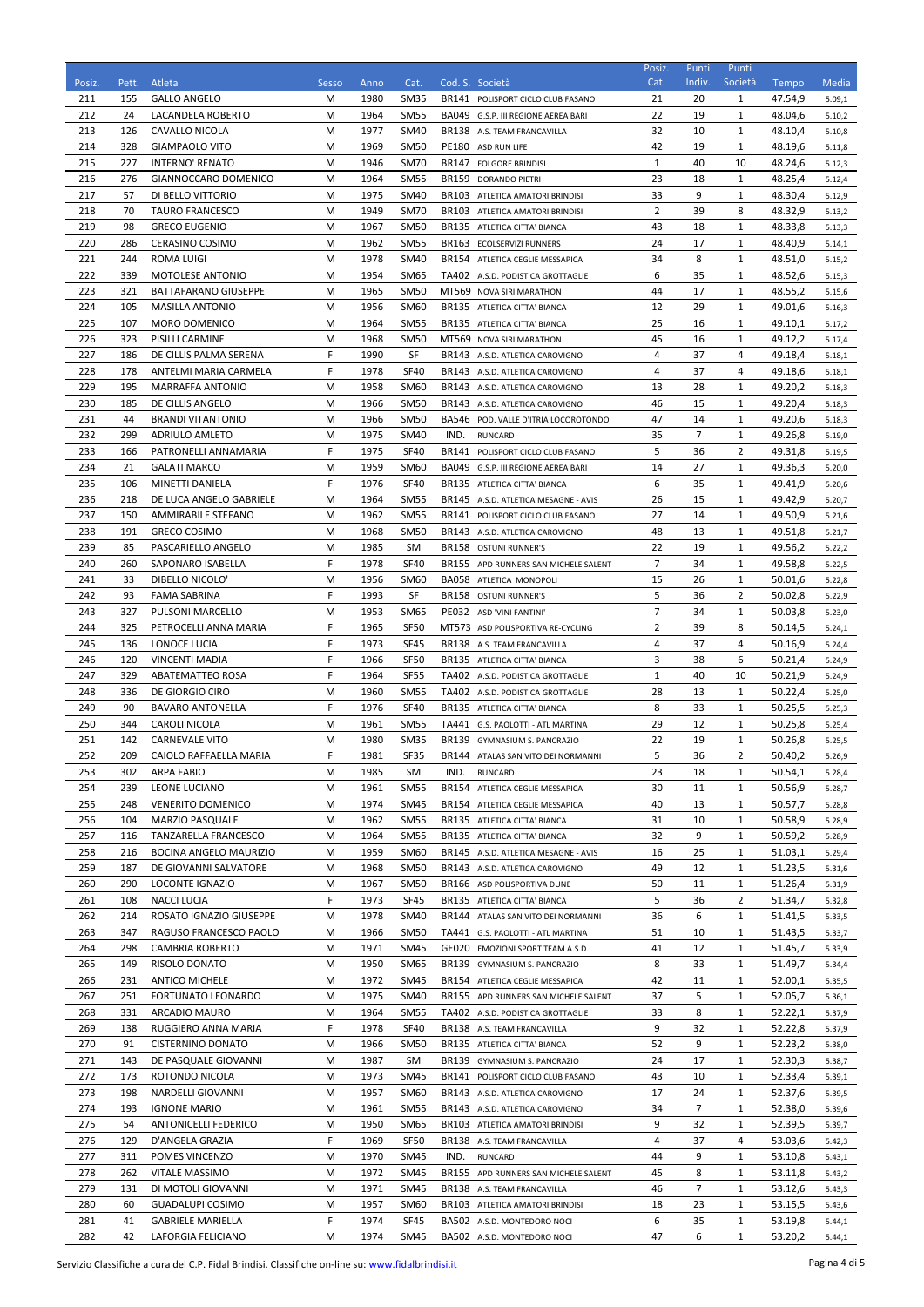| Posiz.     | Pett.      | Atleta                                            | Sesso  | Anno         | Cat.                       |       | Cod. S. Società                                                     | Posiz.<br>Cat.       | Punti<br>Indiv.      | Punti<br>Società             | Tempo              | Media            |
|------------|------------|---------------------------------------------------|--------|--------------|----------------------------|-------|---------------------------------------------------------------------|----------------------|----------------------|------------------------------|--------------------|------------------|
| 211        | 155        | <b>GALLO ANGELO</b>                               | М      | 1980         | <b>SM35</b>                |       | BR141 POLISPORT CICLO CLUB FASANO                                   | 21                   | 20                   | 1                            | 47.54,9            | 5.09,1           |
| 212        | 24         | LACANDELA ROBERTO                                 | М      | 1964         | <b>SM55</b>                |       | BA049 G.S.P. III REGIONE AEREA BARI                                 | 22                   | 19                   | $\mathbf{1}$                 | 48.04,6            | 5.10,2           |
| 213        | 126        | CAVALLO NICOLA                                    | М      | 1977         | <b>SM40</b>                |       | BR138 A.S. TEAM FRANCAVILLA                                         | 32                   | 10                   | $\mathbf{1}$                 | 48.10,4            | 5.10,8           |
| 214        | 328        | <b>GIAMPAOLO VITO</b>                             | М      | 1969         | <b>SM50</b>                |       | PE180 ASD RUN LIFE                                                  | 42                   | 19                   | 1                            | 48.19,6            | 5.11,8           |
| 215        | 227        | <b>INTERNO' RENATO</b>                            | М      | 1946         | <b>SM70</b>                |       | BR147 FOLGORE BRINDISI                                              | $\mathbf{1}$         | 40                   | 10                           | 48.24,6            | 5.12,3           |
| 216<br>217 | 276<br>57  | GIANNOCCARO DOMENICO<br>DI BELLO VITTORIO         | М<br>М | 1964<br>1975 | <b>SM55</b><br><b>SM40</b> | BR159 | <b>DORANDO PIETRI</b><br>BR103 ATLETICA AMATORI BRINDISI            | 23<br>33             | 18<br>9              | $\mathbf{1}$<br>$\mathbf{1}$ | 48.25,4<br>48.30,4 | 5.12,4<br>5.12,9 |
| 218        | 70         | <b>TAURO FRANCESCO</b>                            | М      | 1949         | <b>SM70</b>                |       | BR103 ATLETICA AMATORI BRINDISI                                     | $\overline{2}$       | 39                   | 8                            | 48.32,9            | 5.13,2           |
| 219        | 98         | <b>GRECO EUGENIO</b>                              | М      | 1967         | SM <sub>50</sub>           |       | BR135 ATLETICA CITTA' BIANCA                                        | 43                   | 18                   | $\mathbf{1}$                 | 48.33,8            | 5.13,3           |
| 220        | 286        | CERASINO COSIMO                                   | М      | 1962         | <b>SM55</b>                |       | BR163 ECOLSERVIZI RUNNERS                                           | 24                   | 17                   | $\mathbf{1}$                 | 48.40,9            | 5.14,1           |
| 221        | 244        | <b>ROMA LUIGI</b>                                 | M      | 1978         | <b>SM40</b>                |       | BR154 ATLETICA CEGLIE MESSAPICA                                     | 34                   | 8                    | 1                            | 48.51,0            | 5.15,2           |
| 222        | 339        | <b>MOTOLESE ANTONIO</b>                           | M      | 1954         | <b>SM65</b>                |       | TA402 A.S.D. PODISTICA GROTTAGLIE                                   | 6                    | 35                   | 1                            | 48.52,6            | 5.15,3           |
| 223<br>224 | 321<br>105 | BATTAFARANO GIUSEPPE<br><b>MASILLA ANTONIO</b>    | М<br>М | 1965<br>1956 | <b>SM50</b><br>SM60        |       | MT569 NOVA SIRI MARATHON<br>BR135 ATLETICA CITTA' BIANCA            | 44<br>12             | 17<br>29             | $\mathbf{1}$<br>1            | 48.55,2<br>49.01,6 | 5.15,6           |
| 225        | 107        | <b>MORO DOMENICO</b>                              | М      | 1964         | <b>SM55</b>                |       | BR135 ATLETICA CITTA' BIANCA                                        | 25                   | 16                   | 1                            | 49.10,1            | 5.16,3<br>5.17,2 |
| 226        | 323        | PISILLI CARMINE                                   | М      | 1968         | <b>SM50</b>                |       | MT569 NOVA SIRI MARATHON                                            | 45                   | 16                   | $\mathbf{1}$                 | 49.12,2            | 5.17,4           |
| 227        | 186        | DE CILLIS PALMA SERENA                            | F      | 1990         | SF                         |       | BR143 A.S.D. ATLETICA CAROVIGNO                                     | 4                    | 37                   | 4                            | 49.18,4            | 5.18,1           |
| 228        | 178        | ANTELMI MARIA CARMELA                             | F      | 1978         | <b>SF40</b>                |       | BR143 A.S.D. ATLETICA CAROVIGNO                                     | 4                    | 37                   | 4                            | 49.18,6            | 5.18,1           |
| 229        | 195        | <b>MARRAFFA ANTONIO</b>                           | М      | 1958         | <b>SM60</b>                |       | BR143 A.S.D. ATLETICA CAROVIGNO                                     | 13                   | 28                   | 1                            | 49.20,2            | 5.18,3           |
| 230        | 185        | DE CILLIS ANGELO                                  | M      | 1966         | <b>SM50</b>                |       | BR143 A.S.D. ATLETICA CAROVIGNO                                     | 46                   | 15                   | $\mathbf{1}$                 | 49.20,4            | 5.18,3           |
| 231<br>232 | 44<br>299  | <b>BRANDI VITANTONIO</b><br><b>ADRIULO AMLETO</b> | M<br>М | 1966<br>1975 | <b>SM50</b><br><b>SM40</b> | IND.  | BA546 POD. VALLE D'ITRIA LOCOROTONDO<br><b>RUNCARD</b>              | 47<br>35             | 14<br>$\overline{7}$ | 1<br>1                       | 49.20,6<br>49.26,8 | 5.18,3<br>5.19,0 |
| 233        | 166        | PATRONELLI ANNAMARIA                              | F      | 1975         | <b>SF40</b>                |       | BR141 POLISPORT CICLO CLUB FASANO                                   | 5                    | 36                   | 2                            | 49.31,8            | 5.19,5           |
| 234        | 21         | <b>GALATI MARCO</b>                               | М      | 1959         | <b>SM60</b>                |       | BA049 G.S.P. III REGIONE AEREA BARI                                 | 14                   | 27                   | $\mathbf{1}$                 | 49.36,3            | 5.20,0           |
| 235        | 106        | MINETTI DANIELA                                   | F      | 1976         | <b>SF40</b>                |       | BR135 ATLETICA CITTA' BIANCA                                        | 6                    | 35                   | 1                            | 49.41,9            | 5.20,6           |
| 236        | 218        | DE LUCA ANGELO GABRIELE                           | М      | 1964         | <b>SM55</b>                |       | BR145 A.S.D. ATLETICA MESAGNE - AVIS                                | 26                   | 15                   | $\mathbf{1}$                 | 49.42,9            | 5.20,7           |
| 237        | 150        | AMMIRABILE STEFANO                                | М      | 1962         | <b>SM55</b>                |       | BR141 POLISPORT CICLO CLUB FASANO                                   | 27                   | 14                   | $\mathbf{1}$                 | 49.50,9            | 5.21,6           |
| 238        | 191        | <b>GRECO COSIMO</b>                               | М      | 1968         | <b>SM50</b>                |       | BR143 A.S.D. ATLETICA CAROVIGNO                                     | 48                   | 13                   | $\mathbf{1}$                 | 49.51,8            | 5.21,7           |
| 239<br>240 | 85<br>260  | PASCARIELLO ANGELO<br>SAPONARO ISABELLA           | М<br>F | 1985<br>1978 | <b>SM</b><br><b>SF40</b>   |       | BR158 OSTUNI RUNNER'S<br>BR155 APD RUNNERS SAN MICHELE SALENT       | 22<br>$\overline{7}$ | 19<br>34             | 1<br>1                       | 49.56,2<br>49.58,8 | 5.22,2<br>5.22,5 |
| 241        | 33         | DIBELLO NICOLO'                                   | М      | 1956         | SM60                       |       | <b>BA058 ATLETICA MONOPOLI</b>                                      | 15                   | 26                   | $\mathbf{1}$                 | 50.01,6            | 5.22,8           |
| 242        | 93         | <b>FAMA SABRINA</b>                               | F      | 1993         | SF                         |       | BR158 OSTUNI RUNNER'S                                               | 5                    | 36                   | 2                            | 50.02,8            | 5.22,9           |
| 243        | 327        | PULSONI MARCELLO                                  | М      | 1953         | <b>SM65</b>                |       | PE032 ASD 'VINI FANTINI'                                            | $\overline{7}$       | 34                   | $\mathbf{1}$                 | 50.03,8            | 5.23,0           |
| 244        | 325        | PETROCELLI ANNA MARIA                             | F      | 1965         | <b>SF50</b>                |       | MT573 ASD POLISPORTIVA RE-CYCLING                                   | $\overline{2}$       | 39                   | 8                            | 50.14,5            | 5.24,1           |
| 245        | 136        | LONOCE LUCIA                                      | F      | 1973         | <b>SF45</b>                |       | BR138 A.S. TEAM FRANCAVILLA                                         | 4                    | 37                   | 4                            | 50.16,9            | 5.24,4           |
| 246<br>247 | 120<br>329 | <b>VINCENTI MADIA</b><br>ABATEMATTEO ROSA         | F<br>F | 1966<br>1964 | SF50<br><b>SF55</b>        |       | BR135 ATLETICA CITTA' BIANCA<br>TA402 A.S.D. PODISTICA GROTTAGLIE   | 3<br>$\mathbf{1}$    | 38<br>40             | 6<br>10                      | 50.21,4<br>50.21,9 | 5.24,9<br>5.24,9 |
| 248        | 336        | DE GIORGIO CIRO                                   | M      | 1960         | <b>SM55</b>                |       | TA402 A.S.D. PODISTICA GROTTAGLIE                                   | 28                   | 13                   | 1                            | 50.22,4            | 5.25,0           |
| 249        | 90         | <b>BAVARO ANTONELLA</b>                           | F      | 1976         | <b>SF40</b>                |       | BR135 ATLETICA CITTA' BIANCA                                        | 8                    | 33                   | 1                            | 50.25,5            | 5.25,3           |
| 250        | 344        | CAROLI NICOLA                                     | М      | 1961         | <b>SM55</b>                |       | TA441 G.S. PAOLOTTI - ATL MARTINA                                   | 29                   | 12                   | 1                            | 50.25,8            | 5.25,4           |
| 251        | 142        | <b>CARNEVALE VITO</b>                             | M      | 1980         | <b>SM35</b>                |       | BR139 GYMNASIUM S. PANCRAZIO                                        | 22                   | 19                   | $\mathbf{1}$                 | 50.26,8            | 5.25,5           |
| 252        | 209        | CAIOLO RAFFAELLA MARIA                            | F      | 1981         | <b>SF35</b>                |       | BR144 ATALAS SAN VITO DEI NORMANNI                                  | 5                    | 36                   | $\overline{2}$               | 50.40,2            | 5.26,9           |
| 253        | 302        | ARPA FABIO                                        | M      | 1985         | SM                         | IND.  | <b>RUNCARD</b>                                                      | 23                   | 18                   | 1                            | 50.54,1            | 5.28,4           |
| 254<br>255 | 239<br>248 | LEONE LUCIANO<br><b>VENERITO DOMENICO</b>         | М<br>M | 1961<br>1974 | <b>SM55</b><br>SM45        |       | BR154 ATLETICA CEGLIE MESSAPICA<br>BR154 ATLETICA CEGLIE MESSAPICA  | 30<br>40             | 11<br>13             | $\mathbf{1}$<br>1            | 50.56,9<br>50.57,7 | 5.28,7<br>5.28,8 |
| 256        | 104        | <b>MARZIO PASQUALE</b>                            | М      | 1962         | <b>SM55</b>                |       | BR135 ATLETICA CITTA' BIANCA                                        | 31                   | 10                   | $\mathbf{1}$                 | 50.58,9            | 5.28,9           |
| 257        | 116        | TANZARELLA FRANCESCO                              | M      | 1964         | <b>SM55</b>                |       | BR135 ATLETICA CITTA' BIANCA                                        | 32                   | 9                    | 1                            | 50.59,2            | 5.28,9           |
| 258        | 216        | BOCINA ANGELO MAURIZIO                            | М      | 1959         | SM60                       |       | BR145 A.S.D. ATLETICA MESAGNE - AVIS                                | 16                   | 25                   | 1                            | 51.03,1            | 5.29,4           |
| 259        | 187        | DE GIOVANNI SALVATORE                             | М      | 1968         | <b>SM50</b>                |       | BR143 A.S.D. ATLETICA CAROVIGNO                                     | 49                   | 12                   | 1                            | 51.23,5            | 5.31,6           |
| 260        | 290        | LOCONTE IGNAZIO                                   | М      | 1967         | <b>SM50</b>                |       | BR166 ASD POLISPORTIVA DUNE                                         | 50                   | 11                   | 1                            | 51.26,4            | 5.31,9           |
| 261<br>262 | 108<br>214 | NACCI LUCIA<br>ROSATO IGNAZIO GIUSEPPE            | F<br>M | 1973<br>1978 | <b>SF45</b><br>SM40        |       | BR135 ATLETICA CITTA' BIANCA<br>BR144 ATALAS SAN VITO DEI NORMANNI  | 5<br>36              | 36<br>6              | 2<br>1                       | 51.34,7<br>51.41,5 | 5.32,8           |
| 263        | 347        | RAGUSO FRANCESCO PAOLO                            | М      | 1966         | <b>SM50</b>                |       | TA441 G.S. PAOLOTTI - ATL MARTINA                                   | 51                   | 10                   | 1                            | 51.43,5            | 5.33,5<br>5.33,7 |
| 264        | 298        | <b>CAMBRIA ROBERTO</b>                            | M      | 1971         | SM45                       |       | GE020 EMOZIONI SPORT TEAM A.S.D.                                    | 41                   | 12                   | 1                            | 51.45,7            | 5.33,9           |
| 265        | 149        | RISOLO DONATO                                     | М      | 1950         | SM65                       |       | BR139 GYMNASIUM S. PANCRAZIO                                        | 8                    | 33                   | 1                            | 51.49,7            | 5.34,4           |
| 266        | 231        | <b>ANTICO MICHELE</b>                             | М      | 1972         | SM45                       |       | BR154 ATLETICA CEGLIE MESSAPICA                                     | 42                   | 11                   | $\mathbf{1}$                 | 52.00,1            | 5.35,5           |
| 267        | 251        | <b>FORTUNATO LEONARDO</b>                         | M      | 1975         | SM40                       |       | BR155 APD RUNNERS SAN MICHELE SALENT                                | 37                   | 5                    | 1                            | 52.05,7            | 5.36,1           |
| 268        | 331        | ARCADIO MAURO                                     | М      | 1964         | <b>SM55</b>                |       | TA402 A.S.D. PODISTICA GROTTAGLIE                                   | 33                   | 8                    | $\mathbf{1}$                 | 52.22,1            | 5.37,9           |
| 269<br>270 | 138<br>91  | RUGGIERO ANNA MARIA<br><b>CISTERNINO DONATO</b>   | F<br>M | 1978<br>1966 | <b>SF40</b><br><b>SM50</b> |       | BR138 A.S. TEAM FRANCAVILLA<br>BR135 ATLETICA CITTA' BIANCA         | 9<br>52              | 32<br>9              | 1<br>$\mathbf{1}$            | 52.22,8<br>52.23,2 | 5.37,9<br>5.38,0 |
| 271        | 143        | DE PASQUALE GIOVANNI                              | M      | 1987         | SM                         |       | BR139 GYMNASIUM S. PANCRAZIO                                        | 24                   | 17                   | 1                            | 52.30,3            | 5.38,7           |
| 272        | 173        | ROTONDO NICOLA                                    | М      | 1973         | SM45                       |       | BR141 POLISPORT CICLO CLUB FASANO                                   | 43                   | 10                   | 1                            | 52.33,4            | 5.39,1           |
| 273        | 198        | NARDELLI GIOVANNI                                 | M      | 1957         | SM60                       |       | BR143 A.S.D. ATLETICA CAROVIGNO                                     | 17                   | 24                   | 1                            | 52.37,6            | 5.39,5           |
| 274        | 193        | <b>IGNONE MARIO</b>                               | M      | 1961         | <b>SM55</b>                |       | BR143 A.S.D. ATLETICA CAROVIGNO                                     | 34                   | 7                    | 1                            | 52.38,0            | 5.39,6           |
| 275        | 54         | <b>ANTONICELLI FEDERICO</b>                       | М      | 1950         | SM65                       |       | BR103 ATLETICA AMATORI BRINDISI                                     | 9                    | 32                   | 1                            | 52.39,5            | 5.39,7           |
| 276        | 129        | D'ANGELA GRAZIA                                   | F      | 1969         | <b>SF50</b>                |       | BR138 A.S. TEAM FRANCAVILLA                                         | 4                    | 37                   | 4                            | 53.03,6            | 5.42,3           |
| 277        | 311        | POMES VINCENZO                                    | М      | 1970         | <b>SM45</b>                | IND.  | <b>RUNCARD</b>                                                      | 44                   | 9                    | $\mathbf{1}$                 | 53.10,8            | 5.43,1           |
| 278<br>279 | 262<br>131 | VITALE MASSIMO<br>DI MOTOLI GIOVANNI              | M<br>M | 1972<br>1971 | SM45<br>SM45               |       | BR155 APD RUNNERS SAN MICHELE SALENT<br>BR138 A.S. TEAM FRANCAVILLA | 45<br>46             | 8<br>$\overline{7}$  | 1<br>$\mathbf{1}$            | 53.11,8<br>53.12,6 | 5.43,2<br>5.43,3 |
| 280        | 60         | <b>GUADALUPI COSIMO</b>                           | M      | 1957         | SM60                       |       | BR103 ATLETICA AMATORI BRINDISI                                     | 18                   | 23                   | 1                            | 53.15,5            | 5.43,6           |
| 281        | 41         | <b>GABRIELE MARIELLA</b>                          | F      | 1974         | SF45                       |       | BA502 A.S.D. MONTEDORO NOCI                                         | 6                    | 35                   | $\mathbf{1}$                 | 53.19,8            | 5.44,1           |
| 282        | 42         | LAFORGIA FELICIANO                                | M      | 1974         | SM45                       |       | BA502 A.S.D. MONTEDORO NOCI                                         | 47                   | 6                    | $\mathbf{1}$                 | 53.20,2            | 5.44,1           |